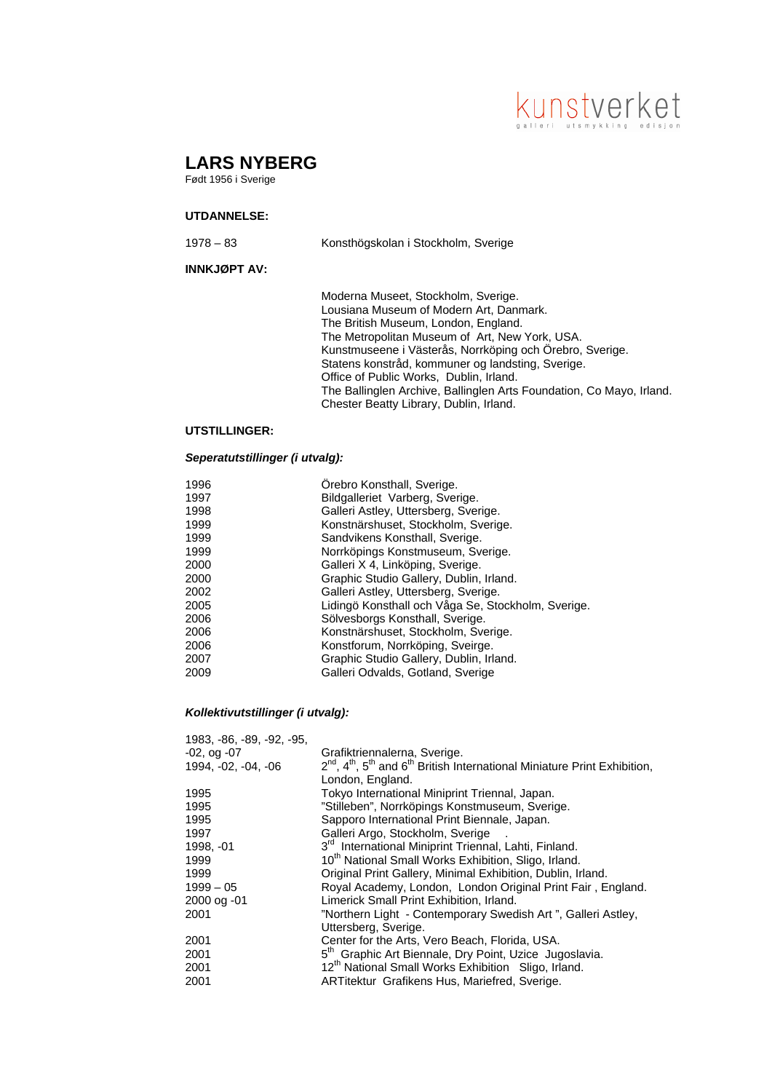# kunstverket

# **LARS NYBERG**

Født 1956 i Sverige

## **UTDANNELSE:**

| $1978 - 83$ | Konsthögskolan i Stockholm, Sverige |  |
|-------------|-------------------------------------|--|
|             |                                     |  |

## **INNKJØPT AV:**

Moderna Museet, Stockholm, Sverige. Lousiana Museum of Modern Art, Danmark. The British Museum, London, England. The Metropolitan Museum of Art, New York, USA. Kunstmuseene i Västerås, Norrköping och Örebro, Sverige. Statens konstråd, kommuner og landsting, Sverige. Office of Public Works, Dublin, Irland. The Ballinglen Archive, Ballinglen Arts Foundation, Co Mayo, Irland. Chester Beatty Library, Dublin, Irland.

#### **UTSTILLINGER:**

#### *Seperatutstillinger (i utvalg):*

| 1996 | Orebro Konsthall, Sverige.                         |
|------|----------------------------------------------------|
| 1997 | Bildgalleriet Varberg, Sverige.                    |
| 1998 | Galleri Astley, Uttersberg, Sverige.               |
| 1999 | Konstnärshuset, Stockholm, Sverige.                |
| 1999 | Sandvikens Konsthall, Sverige.                     |
| 1999 | Norrköpings Konstmuseum, Sverige.                  |
| 2000 | Galleri X 4, Linköping, Sverige.                   |
| 2000 | Graphic Studio Gallery, Dublin, Irland.            |
| 2002 | Galleri Astley, Uttersberg, Sverige.               |
| 2005 | Lidingö Konsthall och Våga Se, Stockholm, Sverige. |
| 2006 | Sölvesborgs Konsthall, Sverige.                    |
| 2006 | Konstnärshuset, Stockholm, Sverige.                |
| 2006 | Konstforum, Norrköping, Sveirge.                   |
| 2007 | Graphic Studio Gallery, Dublin, Irland.            |
| 2009 | Galleri Odvalds, Gotland, Sverige                  |
|      |                                                    |

#### *Kollektivutstillinger (i utvalg):*

| 1983, -86, -89, -92, -95, |                                                                                               |
|---------------------------|-----------------------------------------------------------------------------------------------|
| $-02$ , og $-07$          | Grafiktriennalerna, Sverige.                                                                  |
| 1994, -02, -04, -06       | $2^{nd}$ , $4^{th}$ , $5^{th}$ and $6^{th}$ British International Miniature Print Exhibition, |
|                           | London, England.                                                                              |
| 1995                      | Tokyo International Miniprint Triennal, Japan.                                                |
| 1995                      | "Stilleben", Norrköpings Konstmuseum, Sverige.                                                |
| 1995                      | Sapporo International Print Biennale, Japan.                                                  |
| 1997                      | Galleri Argo, Stockholm, Sverige                                                              |
| 1998, -01                 | 3 <sup>rd</sup> International Miniprint Triennal, Lahti, Finland.                             |
| 1999                      | 10 <sup>th</sup> National Small Works Exhibition, Sligo, Irland.                              |
| 1999                      | Original Print Gallery, Minimal Exhibition, Dublin, Irland.                                   |
| $1999 - 05$               | Royal Academy, London, London Original Print Fair, England.                                   |
| 2000 og -01               | Limerick Small Print Exhibition, Irland.                                                      |
| 2001                      | "Northern Light - Contemporary Swedish Art", Galleri Astley,                                  |
|                           | Uttersberg, Sverige.                                                                          |
| 2001                      | Center for the Arts, Vero Beach, Florida, USA.                                                |
| 2001                      | 5 <sup>th</sup> Graphic Art Biennale, Dry Point, Uzice Jugoslavia.                            |
| 2001                      | 12 <sup>th</sup> National Small Works Exhibition Sligo, Irland.                               |
| 2001                      | ARTitektur Grafikens Hus, Mariefred, Sverige.                                                 |